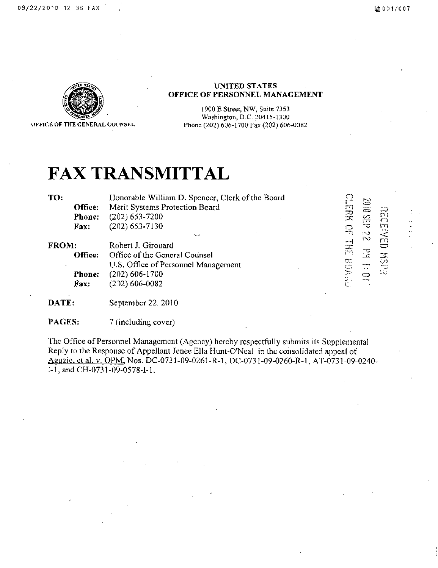

OFKICK OF THE GENERAL COUNSKl.

# **UNITED STATES OFFICE OF PERSONNEL MANAGEMENT**

1900 E Street, NW, Suite 7353 Washington, D.C. 20415-1300 Phone (202) 606-1700 1-ax (202) 606-0082

# **FAX TRANSMITTAL**

TO: Honorable William D. Spencer, Clerk of the Board Office: Merit Systems Protection Board **Phone:** (202) 653-7200<br>**Fax:** (202) 653-7130 (202) 653-7130

FROM: Robert J. Girouard<br>Office: Office of the Gener Office of the General Counsel U.S. Office of Personnel Management **Phone:** (202) 606-1700 Fax: (202) 606-0082

**PHREE HE ENDER 22 desembr**  $\widetilde{\mathbf{D}}$  . **rn ED MSH PH 1:01** 

**DATE:** September 22, 2010

PAGES: 7 (including cover)

The Office of Personnel Management (Agency) hereby respectfully submits its Supplemental Reply to the Response of Appellant Jenee Ella Hunt-O'Neal in the consolidated appeal of Aguzic, et al. v. OPM, Nos. DC-0731-09-0261-R-1, DC-0731-09-0260-R-1, AT-0731-09-0240l-l , and CH-0731-09-0578-1-1. .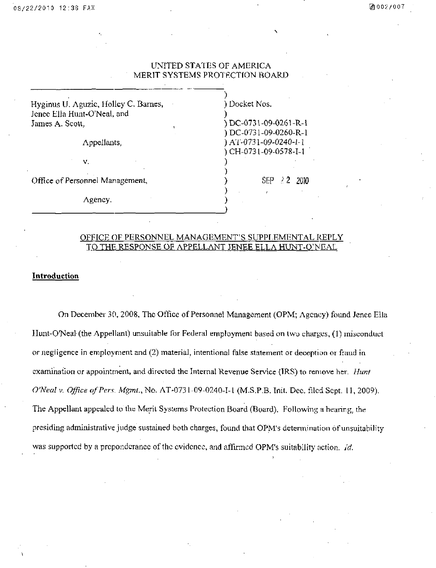# UNITED STATES OF AMERICA MERIT SYSTEMS PROTRCTION BOARD

)

 $\frac{1}{2}$  $\frac{1}{2}$ 

**) J** 

| Hyginus U. Aguzic, Holley C. Barnes, |  |
|--------------------------------------|--|
| Jenee Ella Hunt-O'Neal, and          |  |
| James A. Scott,                      |  |

Appellants,

v.

Office of Personnel Management,

Agency.

) Docket Nos.<br>.

**) - .** 

DC-0731-09-0261-R-1 )DC-0731-09-0261-R-l ) AT-0731-09-0240-I-1 ) AT-0731-09-0240-1-1 )CH-0731-09-0578-1-1

 $SEP \; 22$  2010

# OFFICE OF PERSONNEL MANAGEMENT'S SUPPLEMENTAL REPLY TO THE RESPONSE OF APPELLANT JENEE ELLA HUNT-O'NEAL

### **Introduction**

*On December 30, 2008, The Office of Personnel Management (OPM; Agency) found Jenee Ella IIunt-O'Neal (the Appellant) unsuitable for Federal employment bayed on two charges, (1) misconduct or negligence in employment and (2) material, intentional false statement or deception or fraud in examination or appointment, and directed the Internal Revenue Service (IRS) to remove her. Himt O'Neal V. Office of Pers. Mgmt., No. AT-0731-09-0240-T-1 (M.S.P.B. Tnit. Dec. filed Sept. 11, 2009).*  The Appellant appealed to the Merit Systems Protection Board (Board). Following a hearing, the *presiding administrative judge sustained both charges, found that OPM's determination of unsuitability* was supported by a preponderance of the evidence, and affirmed OPM's suitability action. Id.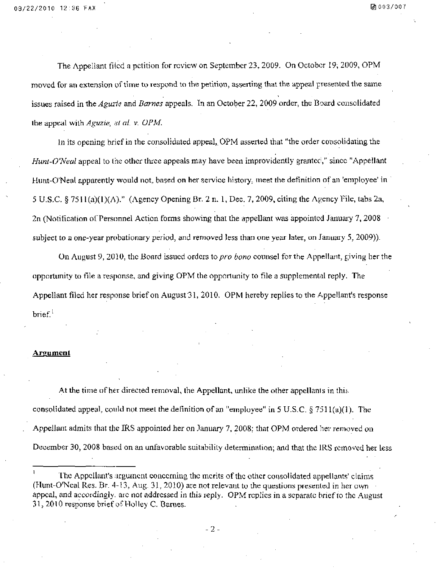*The Appellant filed a pctifion for review on September 23, 2009. On October 19; 2009, OPM moved for an extension of time to respond to the petition, asserting that the appeal presented the same issues raised in the Aguzic and Barnes appeals. In an October 22, 2009 order, the Board consolidated the appeal wilh Aguzie., el al. v. OPM.* 

In its opening brief in the consolidated appeal, OPM asserted that "the order consolidating the Hunt-O'Neal appeal to the other three appeals may have been improvidently granted," since "Appellant Hunt-O'Neal apparently would not, based on her seivice history, meet the definition of an 'employee' in 5 U.S.C. § 75 $H(a)(1)(A)$ ." (Agency Opening Br. 2 n. 1, Dec. 7, 2009, citing the Agency File, tabs 2a, 2n (Notification of Personnel Action forms showing that the appellant was appointed January 7, 2008 subject to a one-year probationary period, and removed less than one year later, on January 5, 2009)).

On August 9, 2010, the Board issued orders to pro bono counsel for the Appellant, giving her the opportunity to file a response, and giving OPM the opportunity to file a supplemental reply. The Appellant filed her response brief on August 31, 2010. OPM hereby replies to the Appellant's response brief.

#### **Argument**

At the fime of her directed removal, the Appellant, unlike the other appellanis in this, consolidated appeal, could not meet the definition of an "employee" in 5 U.S.C.  $\S 7511(a)(1)$ . The Appellant admits that the IRS appointed her on January 7, 2008; that OPM ordered her removed on December 30, 2008 based on an unfavorable suitability determination; and that the IRS removed her less

The Appellant's argument concerning the merits of the other consolidated appellants' claims (Hunt-O'Neal Res. Br. 4-13, Aug. 31, 2010) are not relevant to the questions presented in her own appeal, and accordingly, arc not addressed in this reply. OPM replies in a separate brief to the August 31, 2010 response brief of Holley C. Barnes.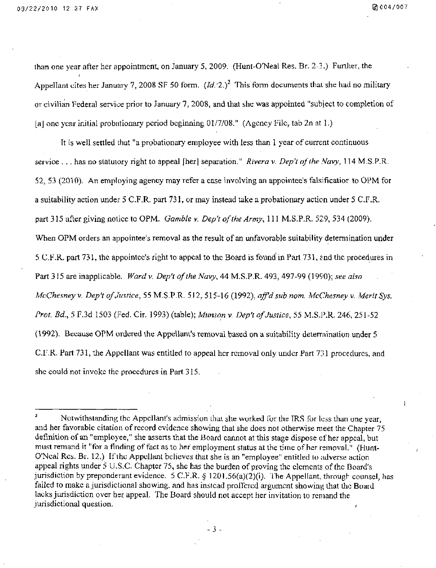than one year after her appointment, on January 5, 2009. (Hunt-O'Neal Res. Br. 2-3.) Funher, the Appellant cites her January 7, 2008 SF 50 form.  $(Id. 2.)^2$  This form documents that she had no military or civilian Federal service prior to January 7, 2008, and that she was appointed "subject to completion of [a] one year initial probationary period beginning 01/7/08." (Agency File, tab 2n at 1.)

It is well settled that "a probationary employee with less than I year of current continuous service . . . has no statutory right to appeal [her] separation." Rivera v. Dep't of the Navy, 114 M.S.P.R. 52, 53 (2010). An employing agency may refer a case involving an appointee's falsificatior to OPM for a suitability action under 5 C.F.R. part 731, or may instead take a probationary action under 5 C.F.R. part 315 after giving notice to OPM. Gamble v. Dep't of the Army, 111 M.S.P.R. 529, 534 (2009). When OPM orders an appointee's removal as the result of an unfavorable suitability determination under 5 CF.R. part 73 L the appointee's right to appeal to the Board is found in Part 731, snd tlic procedures in Part 315 are inapplicable. Ward v. Dep't of the Navy, 44 M.S.P.R. 493, 497-99 (1990); see also McChesney v. Dep't of Justice, 55 M.S.P.R. 512, 515-16 (1992), aff'd sub nom. McChesney v. Merit Sys. Prot. Bd., 5 F.3d 1503 (Fed. Cir. 1993) (table); Munson v. Dep't of Justice, 55 M.S.P.R. 246, 251-52 (1992). Because OPM ordered the Appellant's removal based on a suitability delerrninalion under 5 C.F.R. Part 731, the Appellant was enfitled to appeal her removal only under Part 731 procedures, and she could not invoke the procedures in Part 315.

Notwithstanding the Appellant's admission that she worked for the IRS for less than one year, and her favorable citation of record evidence showing that she does not otherwise meet the Chapter 75 definition of an "employee," she asserts that the Board cannot at this stage dispose of her appeal, but must remand it "for a finding of fact as to her employment status at the time of her removal." (Hunt-O'Ncal Res. Br. 12.) If the Appellant believes that she is an "employee" entitled to adverse action appeal rights under  $5 \text{ U.S.C.}$  Chapter 75, she has the burden of proving the elements of the Board's jurisdiction by preponderant evidence. 5 C.F.R. § 1201.56(a)(2)(i). The Appellant, through counsel, has failed to make a jurisdictional showing, and has instead proffered argument showing that the Board lacks jurisdiction over her appeal. The Board should not accept her invitation to remand the jurisdictional question.